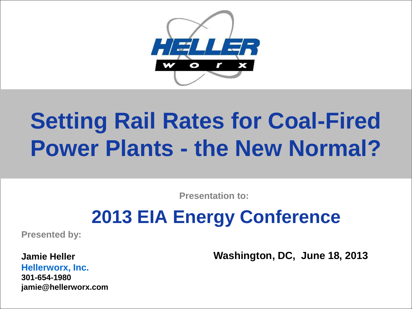

# **Setting Rail Rates for Coal-Fired Power Plants - the New Normal?**

**Presentation to:**

## **2013 EIA Energy Conference**

**Presented by:**

**Jamie Heller Hellerworx, Inc. 301-654-1980 jamie@hellerworx.com** **Washington, DC, June 18, 2013**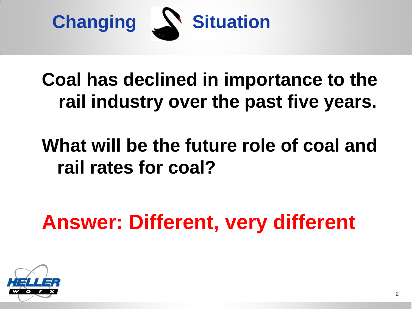

## **Coal has declined in importance to the rail industry over the past five years.**

## **What will be the future role of coal and rail rates for coal?**

**Answer: Different, very different**

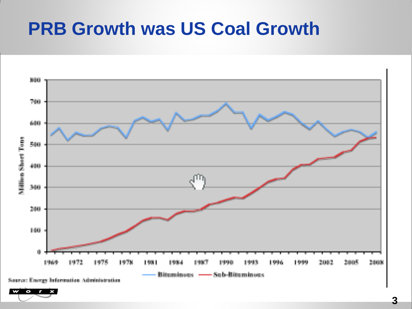#### **PRB Growth was US Coal Growth**

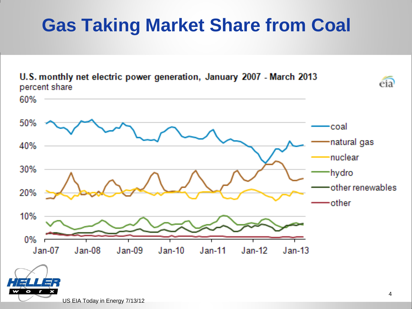## **Gas Taking Market Share from Coal**



U.S. monthly net electric power generation, January 2007 - March 2013 percent share

US EIA Today in Energy 7/13/12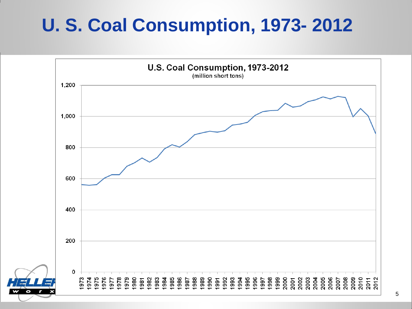### **U. S. Coal Consumption, 1973- 2012**

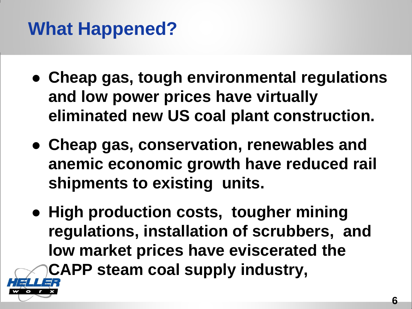## **What Happened?**

- **Cheap gas, tough environmental regulations and low power prices have virtually eliminated new US coal plant construction.**
- **Cheap gas, conservation, renewables and anemic economic growth have reduced rail shipments to existing units.**
- **High production costs, tougher mining regulations, installation of scrubbers, and low market prices have eviscerated the CAPP steam coal supply industry,**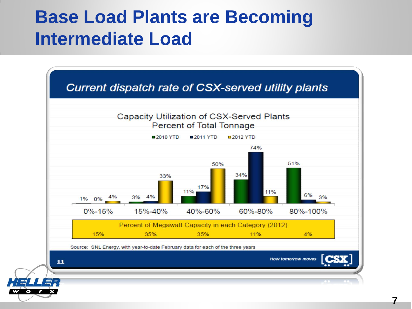#### **Base Load Plants are Becoming Intermediate Load**

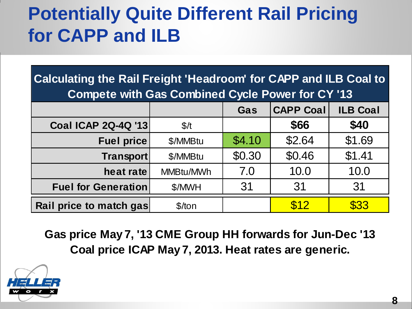## **Potentially Quite Different Rail Pricing for CAPP and ILB**

| <b>Calculating the Rail Freight 'Headroom' for CAPP and ILB Coal to</b><br><b>Compete with Gas Combined Cycle Power for CY '13</b> |           |        |                  |                 |
|------------------------------------------------------------------------------------------------------------------------------------|-----------|--------|------------------|-----------------|
|                                                                                                                                    |           | Gas    | <b>CAPP Coal</b> | <b>ILB Coal</b> |
| <b>Coal ICAP 2Q-4Q '13</b>                                                                                                         | \$/t      |        | \$66             | \$40            |
| <b>Fuel price</b>                                                                                                                  | \$/MMBtu  | \$4.10 | \$2.64           | \$1.69          |
| Transport                                                                                                                          | \$/MMBtu  | \$0.30 | \$0.46           | \$1.41          |
| heat rate                                                                                                                          | MMBtu/MWh | 7.0    | 10.0             | 10.0            |
| <b>Fuel for Generation</b>                                                                                                         | \$/MWH    | 31     | 31               | 31              |
| Rail price to match gas                                                                                                            | $$$ /ton  |        | \$12             | \$33            |

**Gas price May 7, '13 CME Group HH forwards for Jun-Dec '13 Coal price ICAP May 7, 2013. Heat rates are generic.**

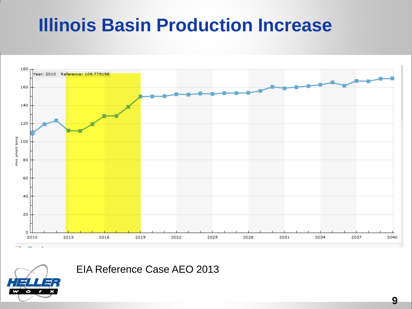#### **Illinois Basin Production Increase**



EIA Reference Case AEO 2013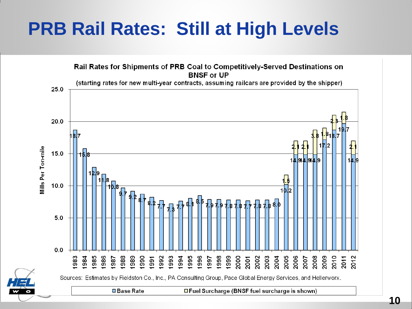#### **PRB Rail Rates: Still at High Levels**

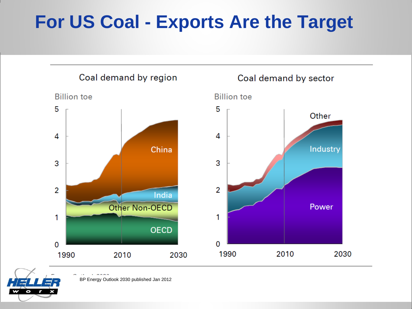## **For US Coal - Exports Are the Target**





BP Energy Outlook 2030 published Jan 2012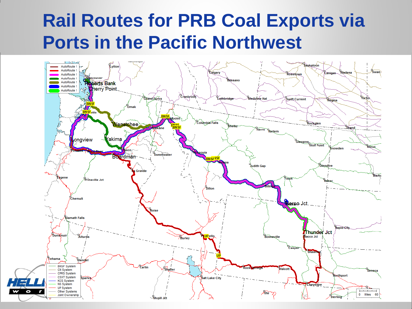#### **Rail Routes for PRB Coal Exports via Ports in the Pacific Northwest**